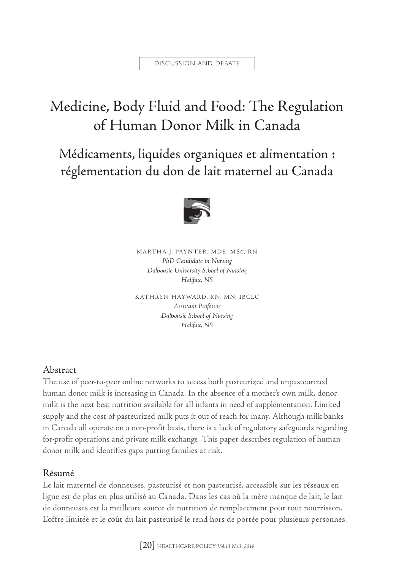# Medicine, Body Fluid and Food: The Regulation of Human Donor Milk in Canada

Médicaments, liquides organiques et alimentation : réglementation du don de lait maternel au Canada



MARTHA J. PAYNTER, MDE, MSC, RN *PhD Candidate in Nursing Dalhousie University School of Nursing Halifax, NS*

KATHRYN HAYWARD, RN, MN, IBCLC *Assistant Professor Dalhousie School of Nursing Halifax, NS*

## Abstract

The use of peer-to-peer online networks to access both pasteurized and unpasteurized human donor milk is increasing in Canada. In the absence of a mother's own milk, donor milk is the next best nutrition available for all infants in need of supplementation. Limited supply and the cost of pasteurized milk puts it out of reach for many. Although milk banks in Canada all operate on a non-profit basis, there is a lack of regulatory safeguards regarding for-profit operations and private milk exchange. This paper describes regulation of human donor milk and identifies gaps putting families at risk.

#### Résumé

Le lait maternel de donneuses, pasteurisé et non pasteurisé, accessible sur les réseaux en ligne est de plus en plus utilisé au Canada. Dans les cas où la mère manque de lait, le lait de donneuses est la meilleure source de nutrition de remplacement pour tout nourrisson. L'offre limitée et le coût du lait pasteurisé le rend hors de portée pour plusieurs personnes.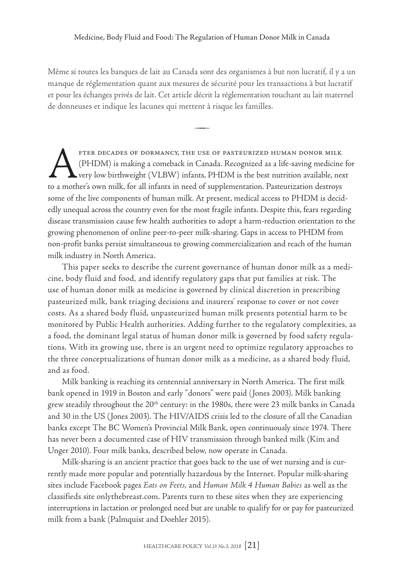Même si toutes les banques de lait au Canada sont des organismes à but non lucratif, il y a un manque de réglementation quant aux mesures de sécurité pour les transactions à but lucratif et pour les échanges privés de lait. Cet article décrit la réglementation touchant au lait maternel de donneuses et indique les lacunes qui mettent à risque les familles.

 $\rightarrow$ 

FTER DECADES OF DORMANCY, THE USE OF PASTEURIZED HUMAN DONOR MILK<br>(PHDM) is making a comeback in Canada. Recognized as a life-saving medicine<br>very low birthweight (VLBW) infants, PHDM is the best nutrition available, nex<br>t (PHDM) is making a comeback in Canada. Recognized as a life-saving medicine for very low birthweight (VLBW) infants, PHDM is the best nutrition available, next to a mother's own milk, for all infants in need of supplementation. Pasteurization destroys some of the live components of human milk. At present, medical access to PHDM is decidedly unequal across the country even for the most fragile infants. Despite this, fears regarding disease transmission cause few health authorities to adopt a harm-reduction orientation to the growing phenomenon of online peer-to-peer milk-sharing. Gaps in access to PHDM from non-profit banks persist simultaneous to growing commercialization and reach of the human milk industry in North America.

This paper seeks to describe the current governance of human donor milk as a medicine, body fluid and food, and identify regulatory gaps that put families at risk. The use of human donor milk as medicine is governed by clinical discretion in prescribing pasteurized milk, bank triaging decisions and insurers' response to cover or not cover costs. As a shared body fluid, unpasteurized human milk presents potential harm to be monitored by Public Health authorities. Adding further to the regulatory complexities, as a food, the dominant legal status of human donor milk is governed by food safety regulations. With its growing use, there is an urgent need to optimize regulatory approaches to the three conceptualizations of human donor milk as a medicine, as a shared body fluid, and as food.

Milk banking is reaching its centennial anniversary in North America. The first milk bank opened in 1919 in Boston and early "donors" were paid (Jones 2003). Milk banking grew steadily throughout the  $20<sup>th</sup>$  century: in the 1980s, there were 23 milk banks in Canada and 30 in the US (Jones 2003). The HIV/AIDS crisis led to the closure of all the Canadian banks except The BC Women's Provincial Milk Bank, open continuously since 1974. There has never been a documented case of HIV transmission through banked milk (Kim and Unger 2010). Four milk banks, described below, now operate in Canada.

Milk-sharing is an ancient practice that goes back to the use of wet nursing and is currently made more popular and potentially hazardous by the Internet. Popular milk-sharing sites include Facebook pages *Eats on Feets*, and *Human Milk 4 Human Babies* as well as the classifieds site [onlythebreast.com.](onlythebreast.com) Parents turn to these sites when they are experiencing interruptions in lactation or prolonged need but are unable to qualify for or pay for pasteurized milk from a bank (Palmquist and Doehler 2015).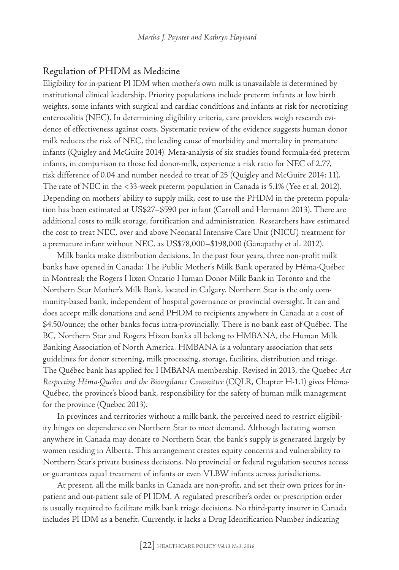#### Regulation of PHDM as Medicine

Eligibility for in-patient PHDM when mother's own milk is unavailable is determined by institutional clinical leadership. Priority populations include preterm infants at low birth weights, some infants with surgical and cardiac conditions and infants at risk for necrotizing enterocolitis (NEC). In determining eligibility criteria, care providers weigh research evidence of effectiveness against costs. Systematic review of the evidence suggests human donor milk reduces the risk of NEC, the leading cause of morbidity and mortality in premature infants (Quigley and McGuire 2014). Meta-analysis of six studies found formula-fed preterm infants, in comparison to those fed donor-milk, experience a risk ratio for NEC of 2.77, risk difference of 0.04 and number needed to treat of 25 (Quigley and McGuire 2014: 11). The rate of NEC in the <33-week preterm population in Canada is 5.1% (Yee et al. 2012). Depending on mothers' ability to supply milk, cost to use the PHDM in the preterm population has been estimated at US\$27–\$590 per infant (Carroll and Hermann 2013). There are additional costs to milk storage, fortification and administration. Researchers have estimated the cost to treat NEC, over and above Neonatal Intensive Care Unit (NICU) treatment for a premature infant without NEC, as US\$78,000–\$198,000 (Ganapathy et al. 2012).

Milk banks make distribution decisions. In the past four years, three non-profit milk banks have opened in Canada: The Public Mother's Milk Bank operated by Héma-Québec in Montreal; the Rogers Hixon Ontario Human Donor Milk Bank in Toronto and the Northern Star Mother's Milk Bank, located in Calgary. Northern Star is the only community-based bank, independent of hospital governance or provincial oversight. It can and does accept milk donations and send PHDM to recipients anywhere in Canada at a cost of \$4.50/ounce; the other banks focus intra-provincially. There is no bank east of Québec. The BC, Northern Star and Rogers Hixon banks all belong to HMBANA, the Human Milk Banking Association of North America. HMBANA is a voluntary association that sets guidelines for donor screening, milk processing, storage, facilities, distribution and triage. The Québec bank has applied for HMBANA membership. Revised in 2013, the Quebec *Act Respecting Héma-Québec and the Biovigilance Committee* (CQLR, Chapter H-1.1) gives Héma-Québec, the province's blood bank, responsibility for the safety of human milk management for the province (Quebec 2013).

In provinces and territories without a milk bank, the perceived need to restrict eligibility hinges on dependence on Northern Star to meet demand. Although lactating women anywhere in Canada may donate to Northern Star, the bank's supply is generated largely by women residing in Alberta. This arrangement creates equity concerns and vulnerability to Northern Star's private business decisions. No provincial or federal regulation secures access or guarantees equal treatment of infants or even VLBW infants across jurisdictions.

At present, all the milk banks in Canada are non-profit, and set their own prices for inpatient and out-patient sale of PHDM. A regulated prescriber's order or prescription order is usually required to facilitate milk bank triage decisions. No third-party insurer in Canada includes PHDM as a benefit. Currently, it lacks a Drug Identification Number indicating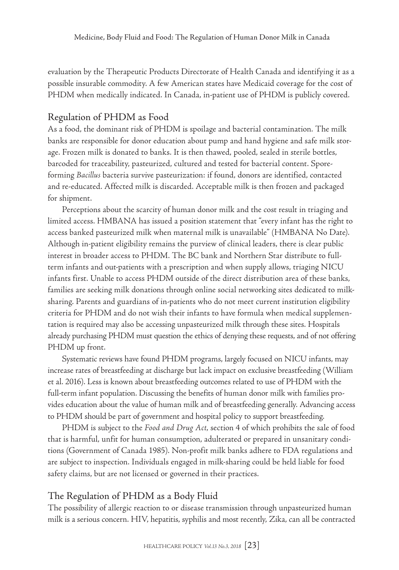evaluation by the Therapeutic Products Directorate of Health Canada and identifying it as a possible insurable commodity. A few American states have Medicaid coverage for the cost of PHDM when medically indicated. In Canada, in-patient use of PHDM is publicly covered.

#### Regulation of PHDM as Food

As a food, the dominant risk of PHDM is spoilage and bacterial contamination. The milk banks are responsible for donor education about pump and hand hygiene and safe milk storage. Frozen milk is donated to banks. It is then thawed, pooled, sealed in sterile bottles, barcoded for traceability, pasteurized, cultured and tested for bacterial content. Sporeforming *Bacillus* bacteria survive pasteurization: if found, donors are identified, contacted and re-educated. Affected milk is discarded. Acceptable milk is then frozen and packaged for shipment.

Perceptions about the scarcity of human donor milk and the cost result in triaging and limited access. HMBANA has issued a position statement that "every infant has the right to access banked pasteurized milk when maternal milk is unavailable" (HMBANA No Date). Although in-patient eligibility remains the purview of clinical leaders, there is clear public interest in broader access to PHDM. The BC bank and Northern Star distribute to fullterm infants and out-patients with a prescription and when supply allows, triaging NICU infants first. Unable to access PHDM outside of the direct distribution area of these banks, families are seeking milk donations through online social networking sites dedicated to milksharing. Parents and guardians of in-patients who do not meet current institution eligibility criteria for PHDM and do not wish their infants to have formula when medical supplementation is required may also be accessing unpasteurized milk through these sites. Hospitals already purchasing PHDM must question the ethics of denying these requests, and of not offering PHDM up front.

Systematic reviews have found PHDM programs, largely focused on NICU infants, may increase rates of breastfeeding at discharge but lack impact on exclusive breastfeeding (William et al. 2016). Less is known about breastfeeding outcomes related to use of PHDM with the full-term infant population. Discussing the benefits of human donor milk with families provides education about the value of human milk and of breastfeeding generally. Advancing access to PHDM should be part of government and hospital policy to support breastfeeding.

PHDM is subject to the *Food and Drug Act*, section 4 of which prohibits the sale of food that is harmful, unfit for human consumption, adulterated or prepared in unsanitary conditions (Government of Canada 1985). Non-profit milk banks adhere to FDA regulations and are subject to inspection. Individuals engaged in milk-sharing could be held liable for food safety claims, but are not licensed or governed in their practices.

## The Regulation of PHDM as a Body Fluid

The possibility of allergic reaction to or disease transmission through unpasteurized human milk is a serious concern. HIV, hepatitis, syphilis and most recently, Zika, can all be contracted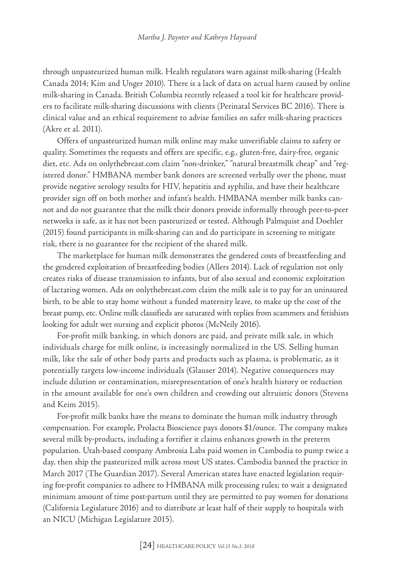through unpasteurized human milk. Health regulators warn against milk-sharing (Health Canada 2014; Kim and Unger 2010). There is a lack of data on actual harm caused by online milk-sharing in Canada. British Columbia recently released a tool kit for healthcare providers to facilitate milk-sharing discussions with clients (Perinatal Services BC 2016). There is clinical value and an ethical requirement to advise families on safer milk-sharing practices (Akre et al. 2011).

Offers of unpasteurized human milk online may make unverifiable claims to safety or quality. Sometimes the requests and offers are specific, e.g., gluten-free, dairy-free, organic diet, etc. Ads on onlythebreast.com claim "non-drinker," "natural breastmilk cheap" and "registered donor." HMBANA member bank donors are screened verbally over the phone, must provide negative serology results for HIV, hepatitis and syphilis, and have their healthcare provider sign off on both mother and infant's health. HMBANA member milk banks cannot and do not guarantee that the milk their donors provide informally through peer-to-peer networks is safe, as it has not been pasteurized or tested. Although Palmquist and Doehler (2015) found participants in milk-sharing can and do participate in screening to mitigate risk, there is no guarantee for the recipient of the shared milk.

The marketplace for human milk demonstrates the gendered costs of breastfeeding and the gendered exploitation of breastfeeding bodies (Allers 2014). Lack of regulation not only creates risks of disease transmission to infants, but of also sexual and economic exploitation of lactating women. Ads on onlythebreast.com claim the milk sale is to pay for an uninsured birth, to be able to stay home without a funded maternity leave, to make up the cost of the breast pump, etc. Online milk classifieds are saturated with replies from scammers and fetishists looking for adult wet nursing and explicit photos (McNeily 2016).

For-profit milk banking, in which donors are paid, and private milk sale, in which individuals charge for milk online, is increasingly normalized in the US. Selling human milk, like the sale of other body parts and products such as plasma, is problematic, as it potentially targets low-income individuals (Glauser 2014). Negative consequences may include dilution or contamination, misrepresentation of one's health history or reduction in the amount available for one's own children and crowding out altruistic donors (Stevens and Keim 2015).

For-profit milk banks have the means to dominate the human milk industry through compensation. For example, Prolacta Bioscience pays donors \$1/ounce. The company makes several milk by-products, including a fortifier it claims enhances growth in the preterm population. Utah-based company Ambrosia Labs paid women in Cambodia to pump twice a day, then ship the pasteurized milk across most US states. Cambodia banned the practice in March 2017 (The Guardian 2017). Several American states have enacted legislation requiring for-profit companies to adhere to HMBANA milk processing rules; to wait a designated minimum amount of time post-partum until they are permitted to pay women for donations (California Legislature 2016) and to distribute at least half of their supply to hospitals with an NICU (Michigan Legislature 2015).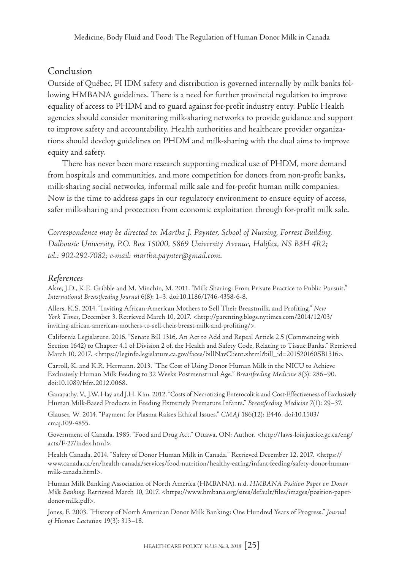#### Conclusion

Outside of Québec, PHDM safety and distribution is governed internally by milk banks following HMBANA guidelines. There is a need for further provincial regulation to improve equality of access to PHDM and to guard against for-profit industry entry. Public Health agencies should consider monitoring milk-sharing networks to provide guidance and support to improve safety and accountability. Health authorities and healthcare provider organizations should develop guidelines on PHDM and milk-sharing with the dual aims to improve equity and safety.

There has never been more research supporting medical use of PHDM, more demand from hospitals and communities, and more competition for donors from non-profit banks, milk-sharing social networks, informal milk sale and for-profit human milk companies. Now is the time to address gaps in our regulatory environment to ensure equity of access, safer milk-sharing and protection from economic exploitation through for-profit milk sale.

*Correspondence may be directed to: Martha J. Paynter, School of Nursing, Forrest Building, Dalhousie University, P.O. Box 15000, 5869 University Avenue, Halifax, NS B3H 4R2; tel.: 902-292-7082; e-mail: [martha.paynter@gmail.com](mailto:martha.paynter@gmail.com).*

#### *References*

Akre, J.D., K.E. Gribble and M. Minchin, M. 2011. "Milk Sharing: From Private Practice to Public Pursuit." *International Breastfeeding Journal* 6(8): 1–3. doi:10.1186/1746-4358-6-8.

Allers, K.S. 2014. "Inviting African-American Mothers to Sell Their Breastmilk, and Profiting." *New York Times*, December 3. Retrieved March 10, 2017. [<http://parenting.blogs.nytimes.com/2014/12/03/](http://parenting.blogs.nytimes.com/2014/12/03/inviting-african-american-mothers-to-sell-their-breast-milk-and-profiting/) [inviting-african-american-mothers-to-sell-their-breast-milk-and-profiting/](http://parenting.blogs.nytimes.com/2014/12/03/inviting-african-american-mothers-to-sell-their-breast-milk-and-profiting/)>.

California Legislature. 2016. "Senate Bill 1316, An Act to Add and Repeal Article 2.5 (Commencing with Section 1642) to Chapter 4.1 of Division 2 of, the Health and Safety Code, Relating to Tissue Banks." Retrieved March 10, 2017. [<https://leginfo.legislature.ca.gov/faces/billNavClient.xhtml?bill\\_id=201520160SB1316>](https://leginfo.legislature.ca.gov/faces/billNavClient.xhtml?bill_id=201520160SB1316).

Carroll, K. and K.R. Hermann. 2013. "The Cost of Using Donor Human Milk in the NICU to Achieve Exclusively Human Milk Feeding to 32 Weeks Postmenstrual Age." *Breastfeeding Medicine* 8(3): 286–90. doi:10.1089/bfm.2012.0068.

Ganapathy, V., J.W. Hay and J.H. Kim. 2012. "Costs of Necrotizing Enterocolitis and Cost-Effectiveness of Exclusively Human Milk-Based Products in Feeding Extremely Premature Infants." *Breastfeeding Medicine* 7(1): 29–37.

Glauser, W. 2014. "Payment for Plasma Raises Ethical Issues." *CMAJ* 186(12): E446. doi[:10.1503/](https://dx.doi.org/10.1503%2Fcmaj.109-4855) [cmaj.109-4855.](https://dx.doi.org/10.1503%2Fcmaj.109-4855)

Government of Canada. 1985. "Food and Drug Act." Ottawa, ON: Author. <http://laws-lois.justice.gc.ca/eng/ acts/F-27/index.html>.

Health Canada. 2014. "Safety of Donor Human Milk in Canada." Retrieved December 12, 2017. <[https://](https://www.canada.ca/en/health-canada/services/food-nutrition/healthy-eating/infant-feeding/safety-donor-human-milk-canada.html) [www.canada.ca/en/health-canada/services/food-nutrition/healthy-eating/infant-feeding/safety-donor-human](https://www.canada.ca/en/health-canada/services/food-nutrition/healthy-eating/infant-feeding/safety-donor-human-milk-canada.html)[milk-canada.html>](https://www.canada.ca/en/health-canada/services/food-nutrition/healthy-eating/infant-feeding/safety-donor-human-milk-canada.html).

Human Milk Banking Association of North America (HMBANA). n.d. *HMBANA Position Paper on Donor Milk Banking*. Retrieved March 10, 2017. <[https://www.hmbana.org/sites/default/files/images/position-paper](https://www.hmbana.org/sites/default/files/images/position-paper-donor-milk.pdf)[donor-milk.pdf>](https://www.hmbana.org/sites/default/files/images/position-paper-donor-milk.pdf).

Jones, F. 2003. "History of North American Donor Milk Banking: One Hundred Years of Progress." *Journal of Human Lactation* 19(3): 313–18.